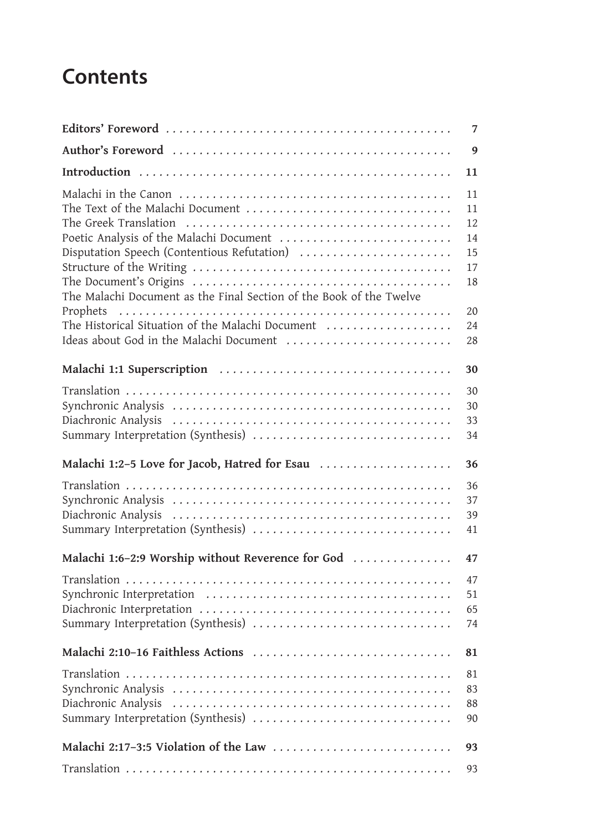## **Contents**

|                                                                     | 7  |
|---------------------------------------------------------------------|----|
|                                                                     | 9  |
|                                                                     | 11 |
|                                                                     | 11 |
| The Text of the Malachi Document                                    | 11 |
|                                                                     | 12 |
| Poetic Analysis of the Malachi Document                             | 14 |
| Disputation Speech (Contentious Refutation)                         | 15 |
|                                                                     | 17 |
|                                                                     | 18 |
| The Malachi Document as the Final Section of the Book of the Twelve |    |
|                                                                     | 20 |
| The Historical Situation of the Malachi Document                    | 24 |
| Ideas about God in the Malachi Document                             | 28 |
|                                                                     |    |
|                                                                     | 30 |
|                                                                     | 30 |
|                                                                     | 30 |
|                                                                     | 33 |
| Summary Interpretation (Synthesis)                                  | 34 |
|                                                                     |    |
| Malachi 1:2-5 Love for Jacob, Hatred for Esau                       | 36 |
|                                                                     | 36 |
|                                                                     | 37 |
|                                                                     | 39 |
| Summary Interpretation (Synthesis)                                  | 41 |
|                                                                     |    |
| Malachi 1:6-2:9 Worship without Reverence for God                   | 47 |
|                                                                     | 47 |
|                                                                     | 51 |
|                                                                     | 65 |
| Summary Interpretation (Synthesis)                                  | 74 |
|                                                                     |    |
| Malachi 2:10-16 Faithless Actions                                   | 81 |
|                                                                     | 81 |
|                                                                     | 83 |
| Diachronic Analysis                                                 |    |
| Summary Interpretation (Synthesis)                                  | 88 |
|                                                                     | 90 |
| Malachi 2:17-3:5 Violation of the Law                               | 93 |
|                                                                     | 93 |